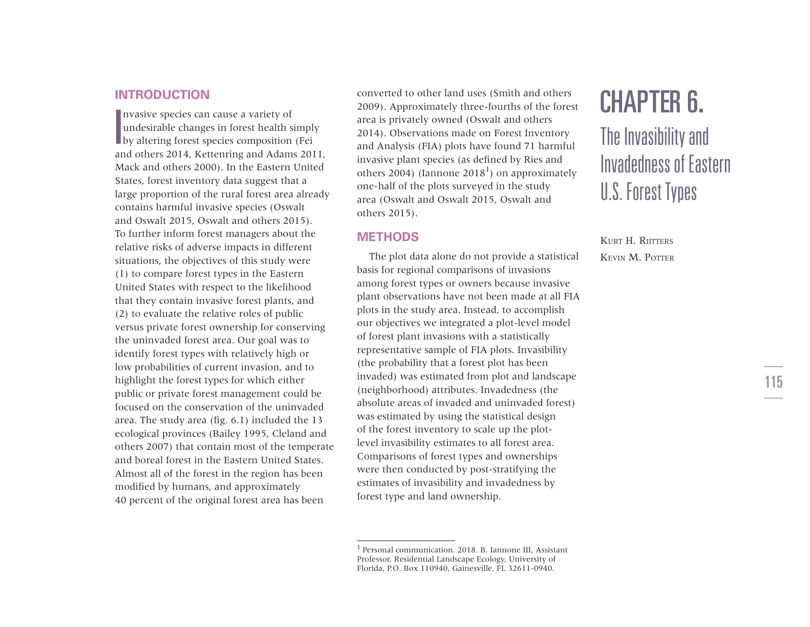# **INTRODUCTION**

nvasive species can cause a variety of undesirable changes in forest health simply **by altering forest species composition (Fei**) and others 2014, Kettenring and Adams 2011, Mack and others 2000). In the Eastern United States, forest inventory data suggest that a large proportion of the rural forest area already contains harmful invasive species (Oswalt and Oswalt 2015, Oswalt and others 2015). To further inform forest managers about the relative risks of adverse impacts in different situations, the objectives of this study were (1) to compare forest types in the Eastern United States with respect to the likelihood that they contain invasive forest plants, and (2) to evaluate the relative roles of public versus private forest ownership for conserving the uninvaded forest area. Our goal was to identify forest types with relatively high or low probabilities of current invasion, and to highlight the forest types for which either public or private forest management could be focused on the conservation of the uninvaded area. The study area (fg. 6.1) included the 13 ecological provinces (Bailey 1995, Cleland and others 2007) that contain most of the temperate and boreal forest in the Eastern United States. Almost all of the forest in the region has been modifed by humans, and approximately 40 percent of the original forest area has been

**INTRODUCTION**<br>
INTRODUCTION<br>
INTRODUCTION<br>
2009). Approximately three-fourths of the forest<br>
2009). Approximately three-fourths of the forest<br>
CHAPTER 6.<br>
UNAPTER 6.<br>
UNAPTER 6.<br>
UNAPTER 6.<br>
UNAPTER 6.<br>
UNAPTER 6.<br>
UNAPTE converted to other land uses (Smith and others 2009). Approximately three-fourths of the forest area is privately owned (Oswalt and others 2014). Observations made on Forest Inventory and Analysis (FIA) plots have found 71 harmful invasive plant species (as defned by Ries and others 2004) (Iannone 2018<sup>1</sup>) on approximately one-half of the plots surveyed in the study area (Oswalt and Oswalt 2015, Oswalt and others 2015).

# **METHODS**

The plot data alone do not provide a statistical basis for regional comparisons of invasions among forest types or owners because invasive plant observations have not been made at all FIA plots in the study area. Instead, to accomplish our objectives we integrated a plot-level model of forest plant invasions with a statistically representative sample of FIA plots. Invasibility (the probability that a forest plot has been invaded) was estimated from plot and landscape (neighborhood) attributes. Invadedness (the absolute areas of invaded and uninvaded forest) was estimated by using the statistical design of the forest inventory to scale up the plotlevel invasibility estimates to all forest area. Comparisons of forest types and ownerships were then conducted by post-stratifying the estimates of invasibility and invadedness by forest type and land ownership.

# The Invasibility and Invadedness of Eastern U.S. Forest Types

KURT H. RIITTERS KEVIN M. POTTER

<sup>1</sup> Personal communication. 2018. B. Iannone III, Assistant Professor, Residential Landscape Ecology, University of Florida, P.O. Box 110940, Gainesville, FL 32611-0940.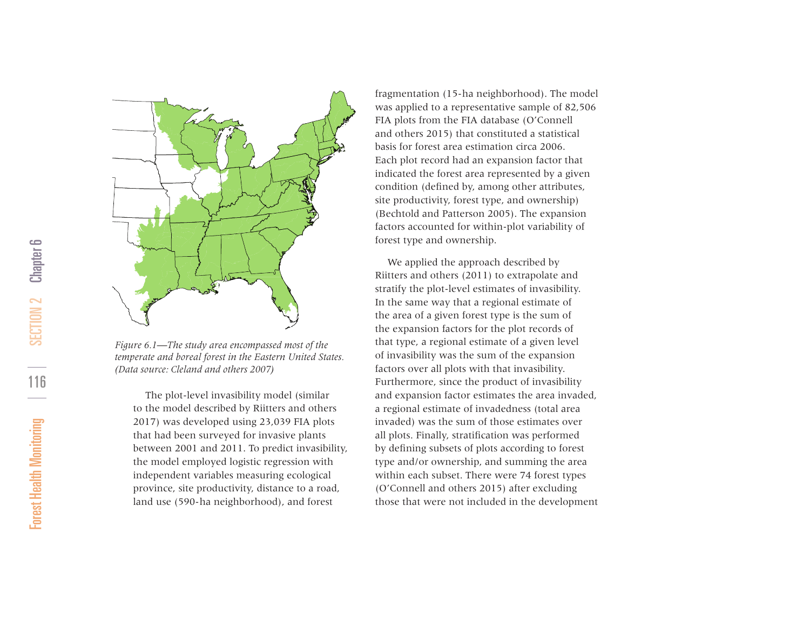

*Figure 6.1—The study area encompassed most of the temperate and boreal forest in the Eastern United States. (Data source: Cleland and others 2007)* 

The plot-level invasibility model (similar to the model described by Riitters and others 2017) was developed using 23,039 FIA plots that had been surveyed for invasive plants between 2001 and 2011. To predict invasibility, the model employed logistic regression with independent variables measuring ecological province, site productivity, distance to a road, land use (590-ha neighborhood), and forest

fragmentation (15-ha neighborhood). The model was applied to a representative sample of 82,506 FIA plots from the FIA database (O'Connell and others 2015) that constituted a statistical basis for forest area estimation circa 2006. Each plot record had an expansion factor that indicated the forest area represented by a given condition (defned by, among other attributes, site productivity, forest type, and ownership) (Bechtold and Patterson 2005). The expansion factors accounted for within-plot variability of forest type and ownership.

We applied the approach described by Riitters and others (2011) to extrapolate and stratify the plot-level estimates of invasibility. In the same way that a regional estimate of the area of a given forest type is the sum of the expansion factors for the plot records of that type, a regional estimate of a given level of invasibility was the sum of the expansion factors over all plots with that invasibility. Furthermore, since the product of invasibility and expansion factor estimates the area invaded, a regional estimate of invadedness (total area invaded) was the sum of those estimates over all plots. Finally, stratifcation was performed by defning subsets of plots according to forest type and/or ownership, and summing the area within each subset. There were 74 forest types (O'Connell and others 2015) after excluding those that were not included in the development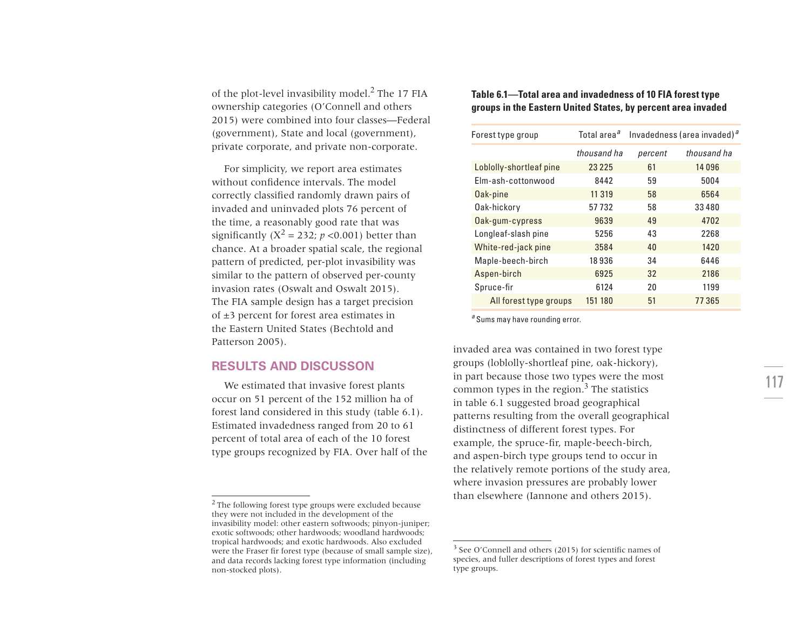of the plot-level invasibility model. $<sup>2</sup>$  The 17 FIA</sup> ownership categories (O'Connell and others 2015) were combined into four classes—Federal (government), State and local (government), private corporate, and private non-corporate.

For simplicity, we report area estimates without confdence intervals. The model correctly classifed randomly drawn pairs of invaded and uninvaded plots 76 percent of the time, a reasonably good rate that was significantly  $(X^2 = 232; p < 0.001)$  better than chance. At a broader spatial scale, the regional pattern of predicted, per-plot invasibility was similar to the pattern of observed per-county invasion rates (Oswalt and Oswalt 2015). The FIA sample design has a target precision of ±3 percent for forest area estimates in the Eastern United States (Bechtold and Patterson 2005).

# **RESULTS AND DISCUSSON**

We estimated that invasive forest plants occur on 51 percent of the 152 million ha of forest land considered in this study (table 6.1). Estimated invadedness ranged from 20 to 61 percent of total area of each of the 10 forest type groups recognized by FIA. Over half of the

## **Table 6.1—Total area and invadedness of 10 FIA forest type groups in the Eastern United States, by percent area invaded**

| Forest type group       | Total area <sup>a</sup> |         | Invadedness (area invaded) <sup>a</sup> |
|-------------------------|-------------------------|---------|-----------------------------------------|
|                         | thousand ha             | percent | thousand ha                             |
| Loblolly-shortleaf pine | 23 2 2 5                | 61      | 14096                                   |
| Elm-ash-cottonwood      | 8442                    | 59      | 5004                                    |
| Oak-pine                | 11 319                  | 58      | 6564                                    |
| Oak-hickory             | 57732                   | 58      | 33480                                   |
| Oak-gum-cypress         | 9639                    | 49      | 4702                                    |
| Longleaf-slash pine     | 5256                    | 43      | 2268                                    |
| White-red-jack pine     | 3584                    | 40      | 1420                                    |
| Maple-beech-birch       | 18936                   | 34      | 6446                                    |
| Aspen-birch             | 6925                    | 32      | 2186                                    |
| Spruce-fir              | 6124                    | 20      | 1199                                    |
| All forest type groups  | 151 180                 | 51      | 77365                                   |
|                         |                         |         |                                         |

*<sup>a</sup>*Sums may have rounding error.

invaded area was contained in two forest type groups (loblolly-shortleaf pine, oak-hickory), in part because those two types were the most common types in the region. $3$  The statistics in table 6.1 suggested broad geographical patterns resulting from the overall geographical distinctness of different forest types. For example, the spruce-fr, maple-beech-birch, and aspen-birch type groups tend to occur in the relatively remote portions of the study area, where invasion pressures are probably lower than elsewhere (Iannone and others 2015).

<sup>2</sup> The following forest type groups were excluded because they were not included in the development of the invasibility model: other eastern softwoods; pinyon-juniper; exotic softwoods; other hardwoods; woodland hardwoods; tropical hardwoods; and exotic hardwoods. Also excluded were the Fraser fr forest type (because of small sample size), and data records lacking forest type information (including non-stocked plots).

 $3$  See O'Connell and others (2015) for scientific names of species, and fuller descriptions of forest types and forest type groups.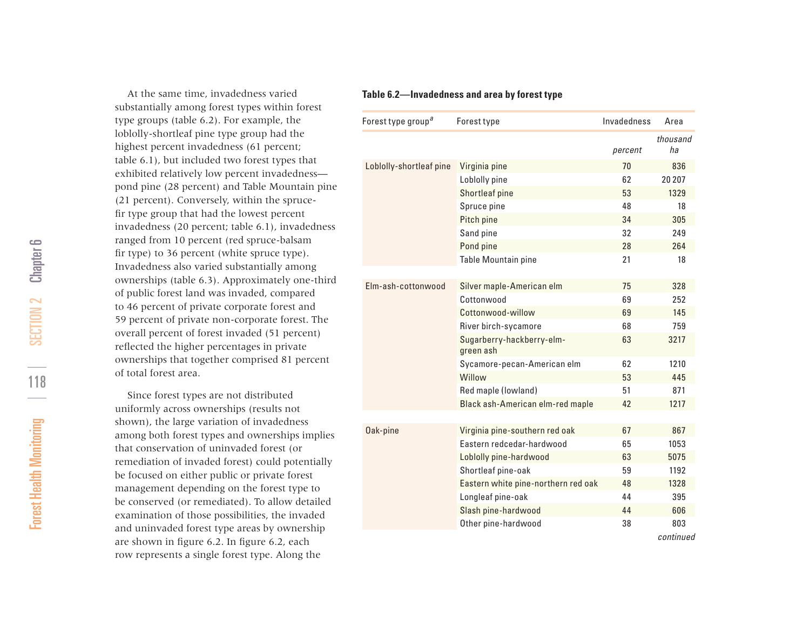At the same time, invadedness varied substantially among forest types within forest type groups (table 6.2). For example, the loblolly-shortleaf pine type group had the highest percent invadedness (61 percent; table 6.1), but included two forest types that exhibited relatively low percent invadedness pond pine (28 percent) and Table Mountain pine (21 percent). Conversely, within the sprucefr type group that had the lowest percent invadedness (20 percent; table 6.1), invadedness ranged from 10 percent (red spruce-balsam fr type) to 36 percent (white spruce type). Invadedness also varied substantially among ownerships (table 6.3). Approximately one-third of public forest land was invaded, compared to 46 percent of private corporate forest and 59 percent of private non-corporate forest. The overall percent of forest invaded (51 percent) refected the higher percentages in private ownerships that together comprised 81 percent of total forest area.

Since forest types are not distributed uniformly across ownerships (results not shown), the large variation of invadedness among both forest types and ownerships implies that conservation of uninvaded forest (or remediation of invaded forest) could potentially be focused on either public or private forest management depending on the forest type to be conserved (or remediated). To allow detailed examination of those possibilities, the invaded and uninvaded forest type areas by ownership are shown in fgure 6.2. In fgure 6.2, each row represents a single forest type. Along the

#### **Table 6.2—Invadedness and area by forest type**

| Forest type group <sup>a</sup> | Forest type                            | Invadedness | Area           |
|--------------------------------|----------------------------------------|-------------|----------------|
|                                |                                        | percent     | thousand<br>ha |
| Loblolly-shortleaf pine        | Virginia pine                          | 70          | 836            |
|                                | Loblolly pine                          | 62          | 20 20 7        |
|                                | Shortleaf pine                         | 53          | 1329           |
|                                | Spruce pine                            | 48          | 18             |
|                                | Pitch pine                             | 34          | 305            |
|                                | Sand pine                              | 32          | 249            |
|                                | Pond pine                              | 28          | 264            |
|                                | Table Mountain pine                    | 21          | 18             |
| Elm-ash-cottonwood             | Silver maple-American elm              | 75          | 328            |
|                                | Cottonwood                             | 69          | 252            |
|                                | Cottonwood-willow                      | 69          | 145            |
|                                | River birch-sycamore                   | 68          | 759            |
|                                | Sugarberry-hackberry-elm-<br>green ash | 63          | 3217           |
|                                | Sycamore-pecan-American elm            | 62          | 1210           |
|                                | Willow                                 | 53          | 445            |
|                                | Red maple (lowland)                    | 51          | 871            |
|                                | Black ash-American elm-red maple       | 42          | 1217           |
|                                |                                        |             |                |
| Oak-pine                       | Virginia pine-southern red oak         | 67          | 867            |
|                                | Eastern redcedar-hardwood              | 65          | 1053           |
|                                | Loblolly pine-hardwood                 | 63          | 5075           |
|                                | Shortleaf pine-oak                     | 59          | 1192           |
|                                | Eastern white pine-northern red oak    | 48          | 1328           |
|                                | Longleaf pine-oak                      | 44          | 395            |
|                                | Slash pine-hardwood                    | 44          | 606            |
|                                | Other pine-hardwood                    | 38          | 803            |
|                                |                                        |             | $\cdot$ .      |

*continued*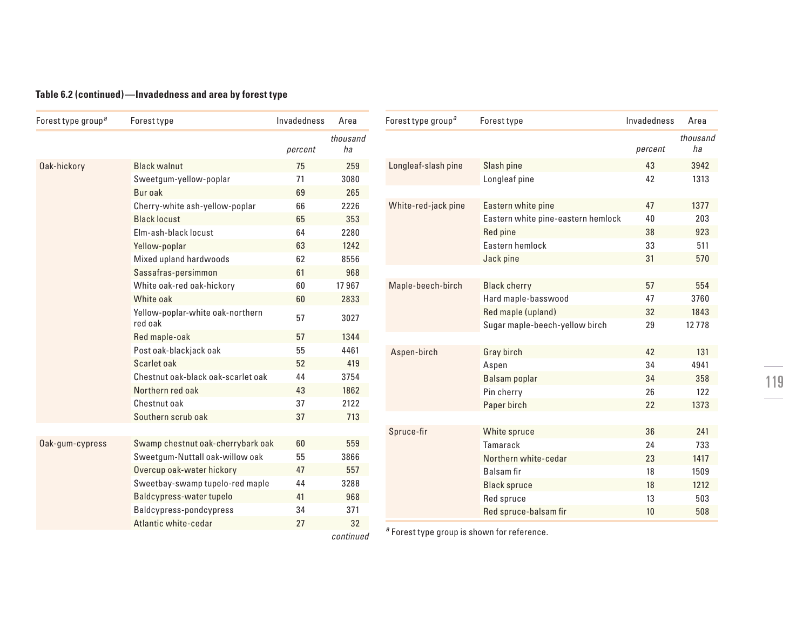# **Table 6.2 (continued)—Invadedness and area by forest type**

| Forest type group <sup>a</sup> | Forest type                                 | Invadedness | Area           |
|--------------------------------|---------------------------------------------|-------------|----------------|
|                                |                                             | percent     | thousand<br>ha |
| Oak-hickory                    | <b>Black walnut</b>                         | 75          | 259            |
|                                | Sweetgum-yellow-poplar                      | 71          | 3080           |
|                                | Bur oak                                     | 69          | 265            |
|                                | Cherry-white ash-yellow-poplar              | 66          | 2226           |
|                                | <b>Black locust</b>                         | 65          | 353            |
|                                | Elm-ash-black locust                        | 64          | 2280           |
|                                | Yellow-poplar                               | 63          | 1242           |
|                                | Mixed upland hardwoods                      | 62          | 8556           |
|                                | Sassafras-persimmon                         | 61          | 968            |
|                                | White oak-red oak-hickory                   | 60          | 17967          |
|                                | White oak                                   | 60          | 2833           |
|                                | Yellow-poplar-white oak-northern<br>red oak | 57          | 3027           |
|                                | Red maple-oak                               | 57          | 1344           |
|                                | Post oak-blackjack oak                      | 55          | 4461           |
|                                | Scarlet oak                                 | 52          | 419            |
|                                | Chestnut oak-black oak-scarlet oak          | 44          | 3754           |
|                                | Northern red oak                            | 43          | 1862           |
|                                | Chestnut oak                                | 37          | 2122           |
|                                | Southern scrub oak                          | 37          | 713            |
|                                |                                             |             |                |
| Oak-gum-cypress                | Swamp chestnut oak-cherrybark oak           | 60          | 559            |
|                                | Sweetgum-Nuttall oak-willow oak             | 55          | 3866           |
|                                | Overcup oak-water hickory                   | 47          | 557            |
|                                | Sweetbay-swamp tupelo-red maple             | 44          | 3288           |
|                                | Baldcypress-water tupelo                    | 41          | 968            |
|                                | Baldcypress-pondcypress                     | 34          | 371            |
|                                | Atlantic white-cedar                        | 27          | 32             |
|                                |                                             |             |                |

| Forest type group <sup>a</sup> | Forest type                        | Invadedness | Area           |
|--------------------------------|------------------------------------|-------------|----------------|
|                                |                                    | percent     | thousand<br>ha |
| Longleaf-slash pine            | Slash pine                         | 43          | 3942           |
|                                | Longleaf pine                      | 42          | 1313           |
| White-red-jack pine            | Eastern white pine                 | 47          | 1377           |
|                                | Eastern white pine-eastern hemlock | 40          | 203            |
|                                | Red pine                           | 38          | 923            |
|                                | Eastern hemlock                    | 33          | 511            |
|                                | Jack pine                          | 31          | 570            |
|                                |                                    |             |                |
| Maple-beech-birch              | <b>Black cherry</b>                | 57          | 554            |
|                                | Hard maple-basswood                | 47          | 3760           |
|                                | Red maple (upland)                 | 32          | 1843           |
|                                | Sugar maple-beech-yellow birch     | 29          | 12778          |
| Aspen-birch                    | Gray birch                         | 42          | 131            |
|                                | Aspen                              | 34          | 4941           |
|                                | Balsam poplar                      | 34          | 358            |
|                                | Pin cherry                         | 26          | 122            |
|                                | Paper birch                        | 22          | 1373           |
|                                |                                    |             |                |
| Spruce-fir                     | White spruce                       | 36          | 241            |
|                                | Tamarack                           | 24          | 733            |
|                                | Northern white-cedar               | 23          | 1417           |
|                                | <b>Balsam</b> fir                  | 18          | 1509           |
|                                | <b>Black spruce</b>                | 18          | 1212           |
|                                | Red spruce                         | 13          | 503            |
|                                | Red spruce-balsam fir              | 10          | 508            |

*continued* 

*<sup>a</sup>* Forest type group is shown for reference.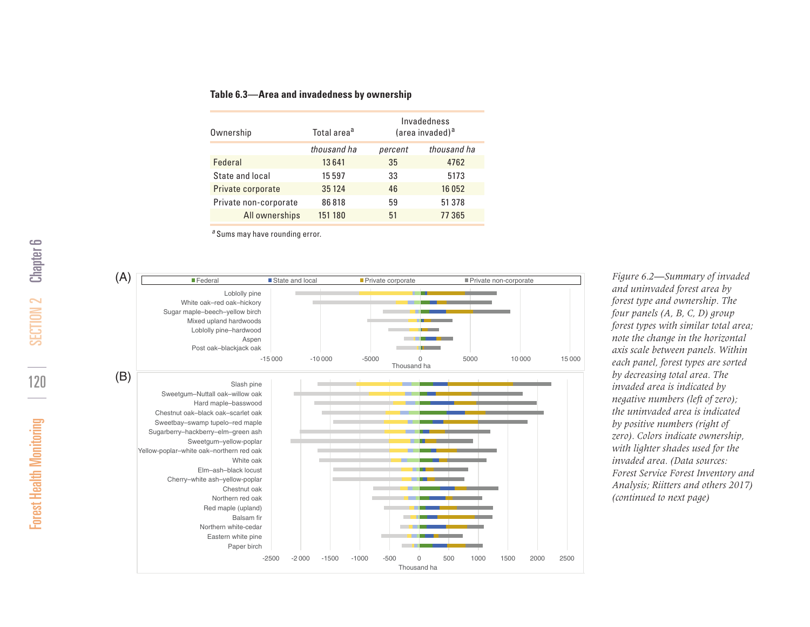### **Table 6.3—Area and invadedness by ownership**

| Ownership             | Total area <sup>a</sup> | Invadedness<br>(area invaded) <sup>a</sup> |             |
|-----------------------|-------------------------|--------------------------------------------|-------------|
|                       | thousand ha             | percent                                    | thousand ha |
| Federal               | 13641                   | 35                                         | 4762        |
| State and local       | 15 5 9 7                | 33                                         | 5173        |
| Private corporate     | 35 1 24                 | 46                                         | 16052       |
| Private non-corporate | 86818                   | 59                                         | 51 378      |
| All ownerships        | 151 180                 | 51                                         | 77365       |
|                       |                         |                                            |             |

<sup>a</sup> Sums may have rounding error.



*Figure 6.2—Summary of invaded and uninvaded forest area by forest type and ownership. The four panels (A, B, C, D) group forest types with similar total area; note the change in the horizontal axis scale between panels. Within each panel, forest types are sorted by decreasing total area. The invaded area is indicated by negative numbers (left of zero); the uninvaded area is indicated by positive numbers (right of zero). Colors indicate ownership, with lighter shades used for the invaded area. (Data sources: Forest Service Forest Inventory and Analysis; Riitters and others 2017) (continued to next page)*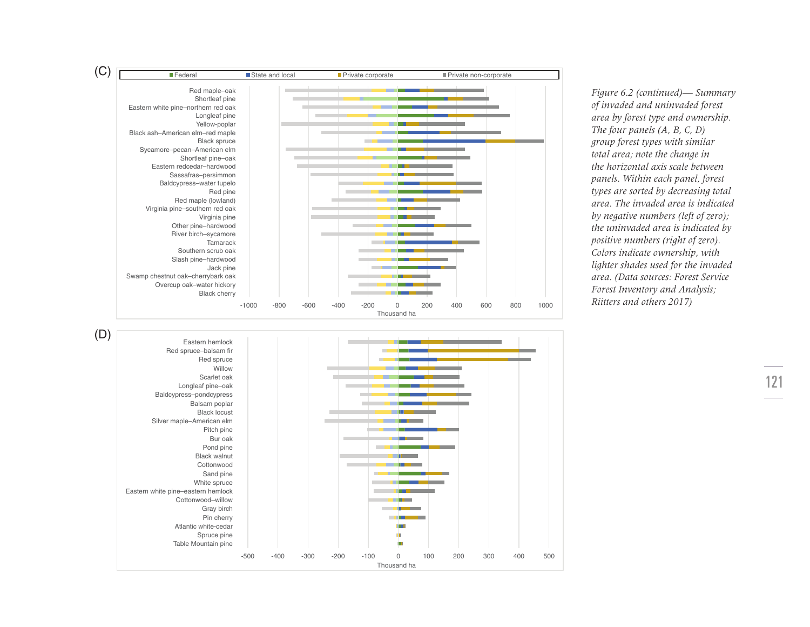

*Figure 6.2 (continued)— Summary of invaded and uninvaded forest area by forest type and ownership. The four panels (A, B, C, D) group forest types with similar total area; note the change in the horizontal axis scale between panels. Within each panel, forest types are sorted by decreasing total area. The invaded area is indicated by negative numbers (left of zero); the uninvaded area is indicated by positive numbers (right of zero). Colors indicate ownership, with lighter shades used for the invaded area. (Data sources: Forest Service Forest Inventory and Analysis; Riitters and others 2017)*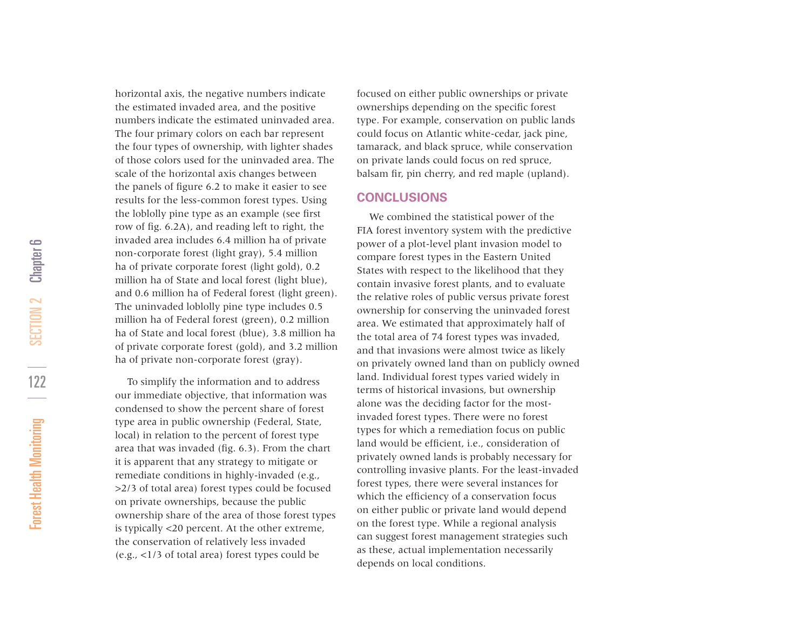horizontal axis, the negative numbers indicate the estimated invaded area, and the positive numbers indicate the estimated uninvaded area. The four primary colors on each bar represent the four types of ownership, with lighter shades of those colors used for the uninvaded area. The scale of the horizontal axis changes between the panels of fgure 6.2 to make it easier to see results for the less-common forest types. Using the loblolly pine type as an example (see frst row of fg. 6.2A), and reading left to right, the invaded area includes 6.4 million ha of private non-corporate forest (light gray), 5.4 million ha of private corporate forest (light gold), 0.2 million ha of State and local forest (light blue), and 0.6 million ha of Federal forest (light green). The uninvaded loblolly pine type includes 0.5 million ha of Federal forest (green), 0.2 million ha of State and local forest (blue), 3.8 million ha of private corporate forest (gold), and 3.2 million ha of private non-corporate forest (gray).

To simplify the information and to address our immediate objective, that information was condensed to show the percent share of forest type area in public ownership (Federal, State, local) in relation to the percent of forest type area that was invaded (fig. 6.3). From the chart it is apparent that any strategy to mitigate or remediate conditions in highly-invaded (e.g., 2/3 of total area) forest types could be focused > on private ownerships, because the public ownership share of the area of those forest types is typically <20 percent. At the other extreme, the conservation of relatively less invaded e.g., <1/3 of total area) forest types could be (

focused on either public ownerships or private ownerships depending on the specifc forest type. For example, conservation on public lands could focus on Atlantic white-cedar, jack pine, tamarack, and black spruce, while conservation on private lands could focus on red spruce, balsam fir, pin cherry, and red maple (upland).

## **CONCLUSIONS**

We combined the statistical power of the FIA forest inventory system with the predictive power of a plot-level plant invasion model to compare forest types in the Eastern United States with respect to the likelihood that they contain invasive forest plants, and to evaluate the relative roles of public versus private forest ownership for conserving the uninvaded forest area. We estimated that approximately half of the total area of 74 forest types was invaded, and that invasions were almost twice as likely on privately owned land than on publicly owned land. Individual forest types varied widely in terms of historical invasions, but ownership alone was the deciding factor for the mostinvaded forest types. There were no forest types for which a remediation focus on public land would be efficient, i.e., consideration of privately owned lands is probably necessary for controlling invasive plants. For the least-invaded forest types, there were several instances for which the efficiency of a conservation focus on either public or private land would depend on the forest type. While a regional analysis can suggest forest management strategies such as these, actual implementation necessarily depends on local conditions.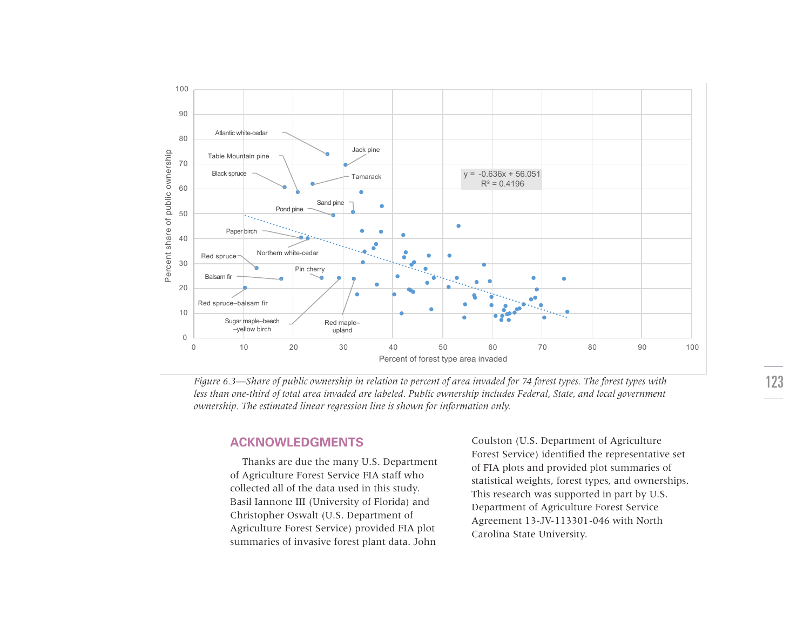

*Figure 6.3—Share of public ownership in relation to percent of area invaded for 74 forest types. The forest types with*  less than one-third of total area invaded are labeled. Public ownership includes Federal, State, and local government *ownership. The estimated linear regression line is shown for information only.* 

# **ACKNOWLEDGMENTS**

Thanks are due the many U.S. Department of Agriculture Forest Service FIA staff who collected all of the data used in this study. Basil Iannone III (University of Florida) and Christopher Oswalt (U.S. Department of Agriculture Forest Service) provided FIA plot summaries of invasive forest plant data. John

Coulston (U.S. Department of Agriculture Forest Service) identifed the representative set of FIA plots and provided plot summaries of statistical weights, forest types, and ownerships. This research was supported in part by U.S. Department of Agriculture Forest Service Agreement 13-JV-113301-046 with North Carolina State University.